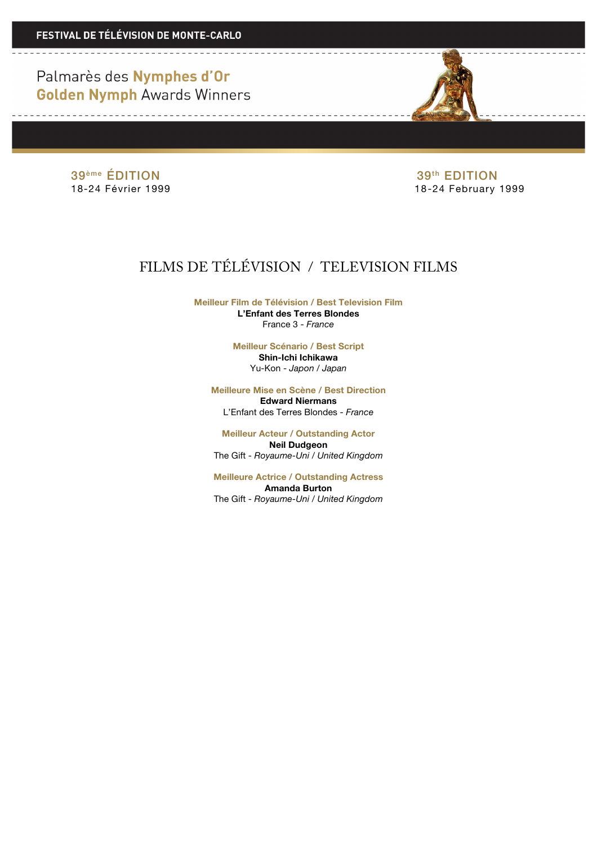Palmarès des Nymphes d'Or **Golden Nymph Awards Winners** 

<u> 1999 - Andrea Albert III, ann an t-</u>

39<sup>ème</sup> ÉDITION 39<sup>ème</sup> ÉDITION<br>18-24 Février 1999 **18-24 Février 1999** 

18-24 February 1999

## FILMS DE TÉLÉVISION / TELEVISION FILMS

**Meilleur Film de Télévision / Best Television Film L'Enfant des Terres Blondes** France 3 - *France*

> **Meilleur Scénario / Best Script Shin-Ichi Ichikawa** Yu-Kon - *Japon / Japan*

**Meilleure Mise en Scène / Best Direction Edward Niermans**

L'Enfant des Terres Blondes - *France*

**Meilleur Acteur / Outstanding Actor Neil Dudgeon** The Gift - *Royaume-Uni / United Kingdom*

**Meilleure Actrice / Outstanding Actress Amanda Burton** The Gift - *Royaume-Uni / United Kingdom*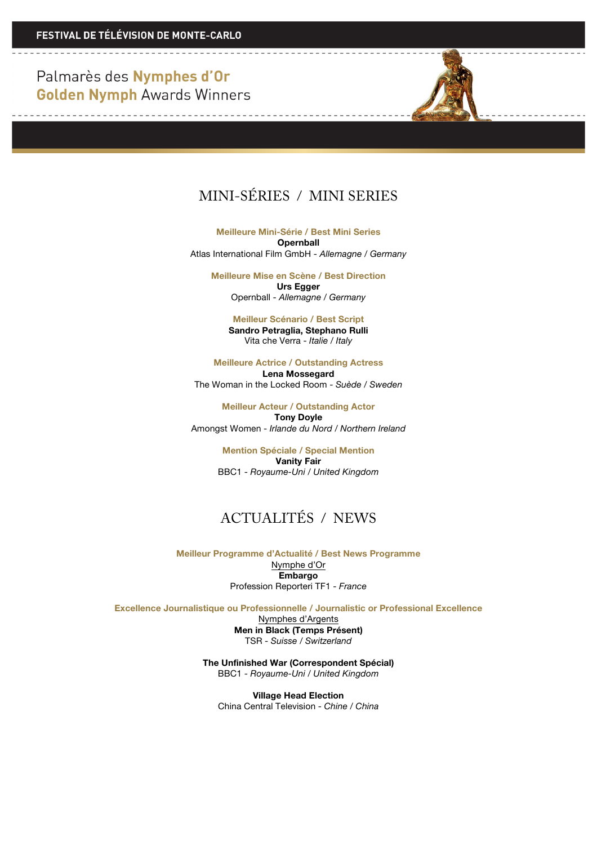Palmarès des Nymphes d'Or **Golden Nymph Awards Winners** 

**Contract Contract** 



**Meilleure Mini-Série / Best Mini Series Opernball** Atlas International Film GmbH - *Allemagne / Germany*

**Meilleure Mise en Scène / Best Direction Urs Egger**

Opernball - *Allemagne / Germany*

**Meilleur Scénario / Best Script Sandro Petraglia, Stephano Rulli** Vita che Verra - *Italie / Italy*

**Meilleure Actrice / Outstanding Actress Lena Mossegard**

The Woman in the Locked Room - *Suède / Sweden*

**Meilleur Acteur / Outstanding Actor Tony Doyle** Amongst Women - *Irlande du Nord / Northern Ireland*

> **Mention Spéciale / Special Mention Vanity Fair** BBC1 - *Royaume-Uni / United Kingdom*

## ACTUALITÉS / NEWS

**Meilleur Programme d'Actualité / Best News Programme** Nymphe d'Or **Embargo** Profession Reporteri TF1 - *France*

**Excellence Journalistique ou Professionnelle / Journalistic or Professional Excellence**

Nymphes d'Argents **Men in Black (Temps Présent)** TSR - *Suisse / Switzerland*

**The Unfinished War (Correspondent Spécial)** BBC1 - *Royaume-Uni / United Kingdom*

**Village Head Election** China Central Television - *Chine / China*